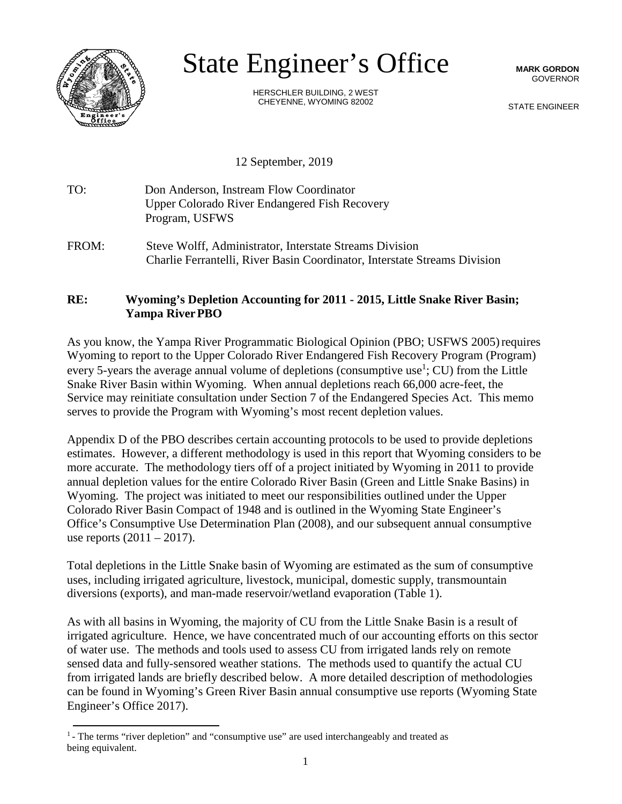

## State Engineer's Office

**MARK GORDON** GOVERNOR

HERSCHLER BUILDING, 2 WEST CHEYENNE, WYOMING 82002

STATE ENGINEER

12 September, 2019

- TO: Don Anderson, Instream Flow Coordinator Upper Colorado River Endangered Fish Recovery Program, USFWS
- FROM: Steve Wolff, Administrator, Interstate Streams Division Charlie Ferrantelli, River Basin Coordinator, Interstate Streams Division

## **RE: Wyoming's Depletion Accounting for 2011 - 2015, Little Snake River Basin; Yampa RiverPBO**

As you know, the Yampa River Programmatic Biological Opinion (PBO; USFWS 2005) requires Wyoming to report to the Upper Colorado River Endangered Fish Recovery Program (Program) every 5-years the average annual volume of depletions (consumptive use<sup>1</sup>; CU) from the Little Snake River Basin within Wyoming. When annual depletions reach 66,000 acre-feet, the Service may reinitiate consultation under Section 7 of the Endangered Species Act. This memo serves to provide the Program with Wyoming's most recent depletion values.

Appendix D of the PBO describes certain accounting protocols to be used to provide depletions estimates. However, a different methodology is used in this report that Wyoming considers to be more accurate. The methodology tiers off of a project initiated by Wyoming in 2011 to provide annual depletion values for the entire Colorado River Basin (Green and Little Snake Basins) in Wyoming. The project was initiated to meet our responsibilities outlined under the Upper Colorado River Basin Compact of 1948 and is outlined in the Wyoming State Engineer's Office's Consumptive Use Determination Plan (2008), and our subsequent annual consumptive use reports  $(2011 - 2017)$ .

Total depletions in the Little Snake basin of Wyoming are estimated as the sum of consumptive uses, including irrigated agriculture, livestock, municipal, domestic supply, transmountain diversions (exports), and man-made reservoir/wetland evaporation (Table 1).

As with all basins in Wyoming, the majority of CU from the Little Snake Basin is a result of irrigated agriculture. Hence, we have concentrated much of our accounting efforts on this sector of water use. The methods and tools used to assess CU from irrigated lands rely on remote sensed data and fully-sensored weather stations. The methods used to quantify the actual CU from irrigated lands are briefly described below. A more detailed description of methodologies can be found in Wyoming's Green River Basin annual consumptive use reports (Wyoming State Engineer's Office 2017).

<span id="page-0-0"></span><sup>&</sup>lt;sup>1</sup> - The terms "river depletion" and "consumptive use" are used interchangeably and treated as being equivalent.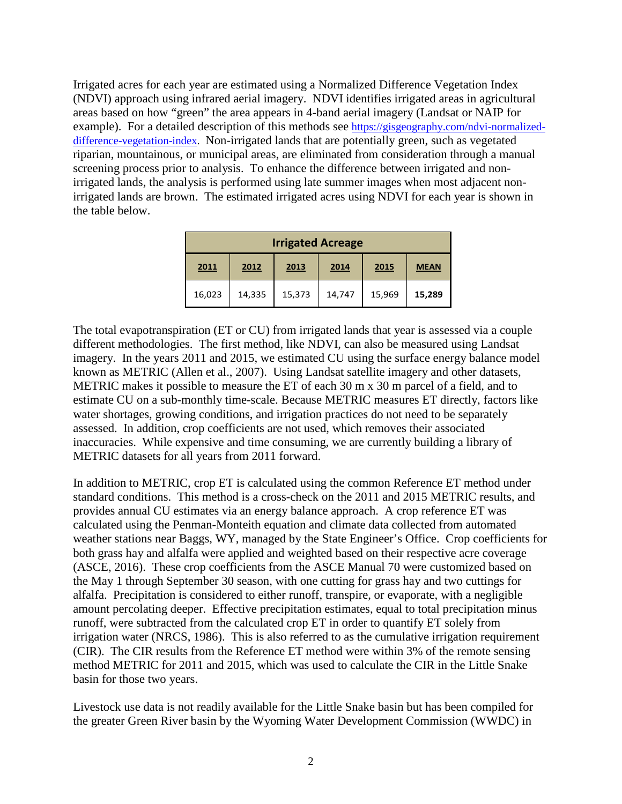Irrigated acres for each year are estimated using a Normalized Difference Vegetation Index (NDVI) approach using infrared aerial imagery. NDVI identifies irrigated areas in agricultural areas based on how "green" the area appears in 4-band aerial imagery (Landsat or NAIP for example). For a detailed description of this methods see [https://gisgeography.com/ndvi-normalized](https://gisgeography.com/ndvi-normalized-difference-vegetation-index/)[difference-vegetation-index.](https://gisgeography.com/ndvi-normalized-difference-vegetation-index/) Non-irrigated lands that are potentially green, such as vegetated riparian, mountainous, or municipal areas, are eliminated from consideration through a manual screening process prior to analysis. To enhance the difference between irrigated and nonirrigated lands, the analysis is performed using late summer images when most adjacent nonirrigated lands are brown. The estimated irrigated acres using NDVI for each year is shown in the table below.

| <b>Irrigated Acreage</b> |        |        |        |        |             |  |  |  |  |
|--------------------------|--------|--------|--------|--------|-------------|--|--|--|--|
| 2011                     | 2012   | 2013   | 2014   | 2015   | <b>MEAN</b> |  |  |  |  |
| 16,023                   | 14,335 | 15,373 | 14,747 | 15,969 | 15,289      |  |  |  |  |

The total evapotranspiration (ET or CU) from irrigated lands that year is assessed via a couple different methodologies. The first method, like NDVI, can also be measured using Landsat imagery. In the years 2011 and 2015, we estimated CU using the surface energy balance model known as METRIC (Allen et al., 2007). Using Landsat satellite imagery and other datasets, METRIC makes it possible to measure the ET of each 30 m x 30 m parcel of a field, and to estimate CU on a sub-monthly time-scale. Because METRIC measures ET directly, factors like water shortages, growing conditions, and irrigation practices do not need to be separately assessed. In addition, crop coefficients are not used, which removes their associated inaccuracies. While expensive and time consuming, we are currently building a library of METRIC datasets for all years from 2011 forward.

In addition to METRIC, crop ET is calculated using the common Reference ET method under standard conditions. This method is a cross-check on the 2011 and 2015 METRIC results, and provides annual CU estimates via an energy balance approach. A crop reference ET was calculated using the Penman-Monteith equation and climate data collected from automated weather stations near Baggs, WY, managed by the State Engineer's Office. Crop coefficients for both grass hay and alfalfa were applied and weighted based on their respective acre coverage (ASCE, 2016). These crop coefficients from the ASCE Manual 70 were customized based on the May 1 through September 30 season, with one cutting for grass hay and two cuttings for alfalfa. Precipitation is considered to either runoff, transpire, or evaporate, with a negligible amount percolating deeper. Effective precipitation estimates, equal to total precipitation minus runoff, were subtracted from the calculated crop ET in order to quantify ET solely from irrigation water (NRCS, 1986). This is also referred to as the cumulative irrigation requirement (CIR). The CIR results from the Reference ET method were within 3% of the remote sensing method METRIC for 2011 and 2015, which was used to calculate the CIR in the Little Snake basin for those two years.

Livestock use data is not readily available for the Little Snake basin but has been compiled for the greater Green River basin by the Wyoming Water Development Commission (WWDC) in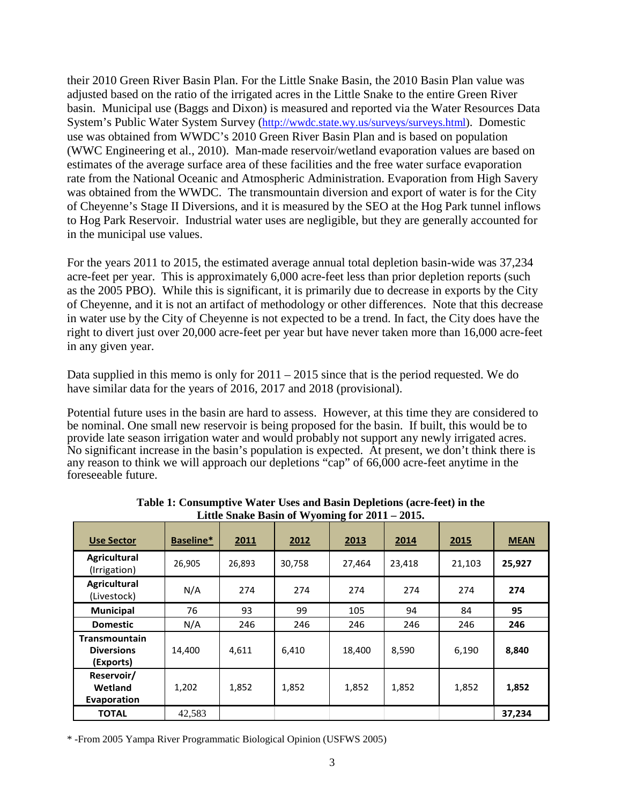their 2010 Green River Basin Plan. For the Little Snake Basin, the 2010 Basin Plan value was adjusted based on the ratio of the irrigated acres in the Little Snake to the entire Green River basin. Municipal use (Baggs and Dixon) is measured and reported via the Water Resources Data System's Public Water System Survey [\(http://wwdc.state.wy.us/surveys/surveys.html\)](http://wwdc.state.wy.us/surveys/surveys.html). Domestic use was obtained from WWDC's 2010 Green River Basin Plan and is based on population (WWC Engineering et al., 2010). Man-made reservoir/wetland evaporation values are based on estimates of the average surface area of these facilities and the free water surface evaporation rate from the National Oceanic and Atmospheric Administration. Evaporation from High Savery was obtained from the WWDC. The transmountain diversion and export of water is for the City of Cheyenne's Stage II Diversions, and it is measured by the SEO at the Hog Park tunnel inflows to Hog Park Reservoir. Industrial water uses are negligible, but they are generally accounted for in the municipal use values.

For the years 2011 to 2015, the estimated average annual total depletion basin-wide was 37,234 acre-feet per year. This is approximately 6,000 acre-feet less than prior depletion reports (such as the 2005 PBO). While this is significant, it is primarily due to decrease in exports by the City of Cheyenne, and it is not an artifact of methodology or other differences. Note that this decrease in water use by the City of Cheyenne is not expected to be a trend. In fact, the City does have the right to divert just over 20,000 acre-feet per year but have never taken more than 16,000 acre-feet in any given year.

Data supplied in this memo is only for 2011 – 2015 since that is the period requested. We do have similar data for the years of 2016, 2017 and 2018 (provisional).

Potential future uses in the basin are hard to assess. However, at this time they are considered to be nominal. One small new reservoir is being proposed for the basin. If built, this would be to provide late season irrigation water and would probably not support any newly irrigated acres. No significant increase in the basin's population is expected. At present, we don't think there is any reason to think we will approach our depletions "cap" of 66,000 acre-feet anytime in the foreseeable future.

| <b>Use Sector</b>                               | Baseline* | 2011   | $\overline{\phantom{a}}$<br>2012 | 0<br>2013 | 2014   | 2015   | <b>MEAN</b> |
|-------------------------------------------------|-----------|--------|----------------------------------|-----------|--------|--------|-------------|
| <b>Agricultural</b><br>(Irrigation)             | 26,905    | 26,893 | 30,758                           | 27,464    | 23,418 | 21,103 | 25,927      |
| <b>Agricultural</b><br>(Livestock)              | N/A       | 274    | 274                              | 274       | 274    | 274    | 274         |
| <b>Municipal</b>                                | 76        | 93     | 99                               | 105       | 94     | 84     | 95          |
| <b>Domestic</b>                                 | N/A       | 246    | 246                              | 246       | 246    | 246    | 246         |
| Transmountain<br><b>Diversions</b><br>(Exports) | 14,400    | 4,611  | 6,410                            | 18,400    | 8,590  | 6,190  | 8,840       |
| Reservoir/<br>Wetland<br>Evaporation            | 1,202     | 1,852  | 1,852                            | 1,852     | 1,852  | 1,852  | 1,852       |
| <b>TOTAL</b>                                    | 42,583    |        |                                  |           |        |        | 37,234      |

**Table 1: Consumptive Water Uses and Basin Depletions (acre-feet) in the Little Snake Basin of Wyoming for 2011 – 2015.**

\* -From 2005 Yampa River Programmatic Biological Opinion (USFWS 2005)